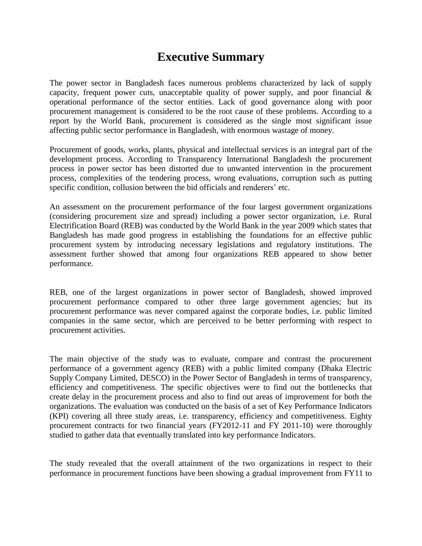## **Executive Summary**

The power sector in Bangladesh faces numerous problems characterized by lack of supply capacity, frequent power cuts, unacceptable quality of power supply, and poor financial  $\&$ operational performance of the sector entities. Lack of good governance along with poor procurement management is considered to be the root cause of these problems. According to a report by the World Bank, procurement is considered as the single most significant issue affecting public sector performance in Bangladesh, with enormous wastage of money.

Procurement of goods, works, plants, physical and intellectual services is an integral part of the development process. According to Transparency International Bangladesh the procurement process in power sector has been distorted due to unwanted intervention in the procurement process, complexities of the tendering process, wrong evaluations, corruption such as putting specific condition, collusion between the bid officials and renderers' etc.

An assessment on the procurement performance of the four largest government organizations (considering procurement size and spread) including a power sector organization, i.e. Rural Electrification Board (REB) was conducted by the World Bank in the year 2009 which states that Bangladesh has made good progress in establishing the foundations for an effective public procurement system by introducing necessary legislations and regulatory institutions. The assessment further showed that among four organizations REB appeared to show better performance.

REB, one of the largest organizations in power sector of Bangladesh, showed improved procurement performance compared to other three large government agencies; but its procurement performance was never compared against the corporate bodies, i.e. public limited companies in the same sector, which are perceived to be better performing with respect to procurement activities.

The main objective of the study was to evaluate, compare and contrast the procurement performance of a government agency (REB) with a public limited company (Dhaka Electric Supply Company Limited, DESCO) in the Power Sector of Bangladesh in terms of transparency, efficiency and competitiveness. The specific objectives were to find out the bottlenecks that create delay in the procurement process and also to find out areas of improvement for both the organizations. The evaluation was conducted on the basis of a set of Key Performance Indicators (KPI) covering all three study areas, i.e. transparency, efficiency and competitiveness. Eighty procurement contracts for two financial years (FY2012-11 and FY 2011-10) were thoroughly studied to gather data that eventually translated into key performance Indicators.

The study revealed that the overall attainment of the two organizations in respect to their performance in procurement functions have been showing a gradual improvement from FY11 to